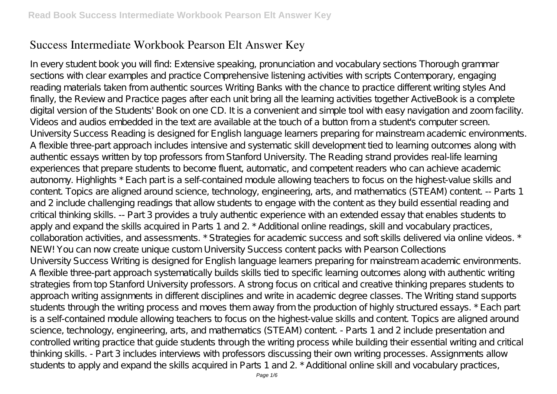# **Success Intermediate Workbook Pearson Elt Answer Key**

In every student book you will find: Extensive speaking, pronunciation and vocabulary sections Thorough grammar sections with clear examples and practice Comprehensive listening activities with scripts Contemporary, engaging reading materials taken from authentic sources Writing Banks with the chance to practice different writing styles And finally, the Review and Practice pages after each unit bring all the learning activities together ActiveBook is a complete digital version of the Students' Book on one CD. It is a convenient and simple tool with easy navigation and zoom facility. Videos and audios embedded in the text are available at the touch of a button from a student's computer screen. University Success Reading is designed for English language learners preparing for mainstream academic environments. A flexible three-part approach includes intensive and systematic skill development tied to learning outcomes along with authentic essays written by top professors from Stanford University. The Reading strand provides real-life learning experiences that prepare students to become fluent, automatic, and competent readers who can achieve academic autonomy. Highlights \* Each part is a self-contained module allowing teachers to focus on the highest-value skills and content. Topics are aligned around science, technology, engineering, arts, and mathematics (STEAM) content. -- Parts 1 and 2 include challenging readings that allow students to engage with the content as they build essential reading and critical thinking skills. -- Part 3 provides a truly authentic experience with an extended essay that enables students to apply and expand the skills acquired in Parts 1 and 2. \* Additional online readings, skill and vocabulary practices, collaboration activities, and assessments. \* Strategies for academic success and soft skills delivered via online videos. \* NEW! You can now create unique custom University Success content packs with Pearson Collections University Success Writing is designed for English language learners preparing for mainstream academic environments. A flexible three-part approach systematically builds skills tied to specific learning outcomes along with authentic writing strategies from top Stanford University professors. A strong focus on critical and creative thinking prepares students to approach writing assignments in different disciplines and write in academic degree classes. The Writing stand supports students through the writing process and moves them away from the production of highly structured essays. \* Each part is a self-contained module allowing teachers to focus on the highest-value skills and content. Topics are aligned around science, technology, engineering, arts, and mathematics (STEAM) content. - Parts 1 and 2 include presentation and controlled writing practice that guide students through the writing process while building their essential writing and critical thinking skills. - Part 3 includes interviews with professors discussing their own writing processes. Assignments allow students to apply and expand the skills acquired in Parts 1 and 2. \* Additional online skill and vocabulary practices,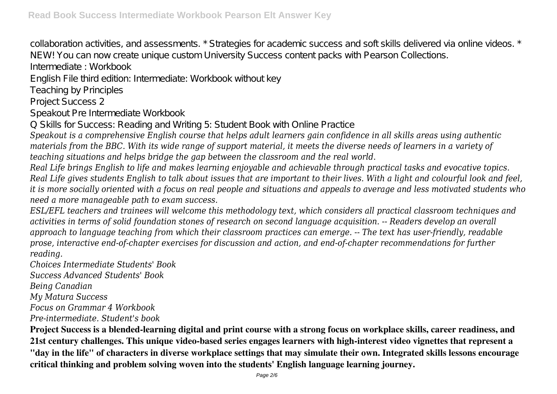collaboration activities, and assessments. \* Strategies for academic success and soft skills delivered via online videos. \* NEW! You can now create unique custom University Success content packs with Pearson Collections.

Intermediate : Workbook

English File third edition: Intermediate: Workbook without key

Teaching by Principles

Project Success 2

Speakout Pre Intermediate Workbook

Q Skills for Success: Reading and Writing 5: Student Book with Online Practice

*Speakout is a comprehensive English course that helps adult learners gain confidence in all skills areas using authentic materials from the BBC. With its wide range of support material, it meets the diverse needs of learners in a variety of teaching situations and helps bridge the gap between the classroom and the real world.*

*Real Life brings English to life and makes learning enjoyable and achievable through practical tasks and evocative topics. Real Life gives students English to talk about issues that are important to their lives. With a light and colourful look and feel, it is more socially oriented with a focus on real people and situations and appeals to average and less motivated students who need a more manageable path to exam success.*

*ESL/EFL teachers and trainees will welcome this methodology text, which considers all practical classroom techniques and activities in terms of solid foundation stones of research on second language acquisition. -- Readers develop an overall approach to language teaching from which their classroom practices can emerge. -- The text has user-friendly, readable prose, interactive end-of-chapter exercises for discussion and action, and end-of-chapter recommendations for further reading.*

*Choices Intermediate Students' Book*

*Success Advanced Students' Book*

*Being Canadian*

*My Matura Success*

*Focus on Grammar 4 Workbook*

*Pre-intermediate. Student's book*

**Project Success is a blended-learning digital and print course with a strong focus on workplace skills, career readiness, and 21st century challenges. This unique video-based series engages learners with high-interest video vignettes that represent a "day in the life" of characters in diverse workplace settings that may simulate their own. Integrated skills lessons encourage critical thinking and problem solving woven into the students' English language learning journey.**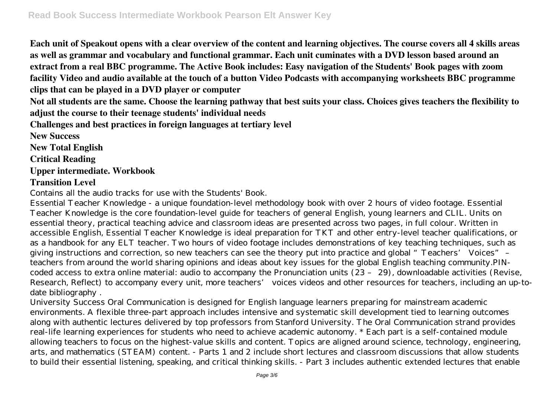**Each unit of Speakout opens with a clear overview of the content and learning objectives. The course covers all 4 skills areas as well as grammar and vocabulary and functional grammar. Each unit cuminates with a DVD lesson based around an extract from a real BBC programme. The Active Book includes: Easy navigation of the Students' Book pages with zoom facility Video and audio available at the touch of a button Video Podcasts with accompanying worksheets BBC programme clips that can be played in a DVD player or computer**

**Not all students are the same. Choose the learning pathway that best suits your class. Choices gives teachers the flexibility to adjust the course to their teenage students' individual needs**

**Challenges and best practices in foreign languages at tertiary level**

**New Success**

**New Total English**

**Critical Reading**

#### **Upper intermediate. Workbook**

### **Transition Level**

Contains all the audio tracks for use with the Students' Book.

Essential Teacher Knowledge - a unique foundation-level methodology book with over 2 hours of video footage. Essential Teacher Knowledge is the core foundation-level guide for teachers of general English, young learners and CLIL. Units on essential theory, practical teaching advice and classroom ideas are presented across two pages, in full colour. Written in accessible English, Essential Teacher Knowledge is ideal preparation for TKT and other entry-level teacher qualifications, or as a handbook for any ELT teacher. Two hours of video footage includes demonstrations of key teaching techniques, such as giving instructions and correction, so new teachers can see the theory put into practice and global "Teachers' Voices" – teachers from around the world sharing opinions and ideas about key issues for the global English teaching community.PINcoded access to extra online material: audio to accompany the Pronunciation units (23 – 29), downloadable activities (Revise, Research, Reflect) to accompany every unit, more teachers' voices videos and other resources for teachers, including an up-todate bibliography .

University Success Oral Communication is designed for English language learners preparing for mainstream academic environments. A flexible three-part approach includes intensive and systematic skill development tied to learning outcomes along with authentic lectures delivered by top professors from Stanford University. The Oral Communication strand provides real-life learning experiences for students who need to achieve academic autonomy. \* Each part is a self-contained module allowing teachers to focus on the highest-value skills and content. Topics are aligned around science, technology, engineering, arts, and mathematics (STEAM) content. - Parts 1 and 2 include short lectures and classroom discussions that allow students to build their essential listening, speaking, and critical thinking skills. - Part 3 includes authentic extended lectures that enable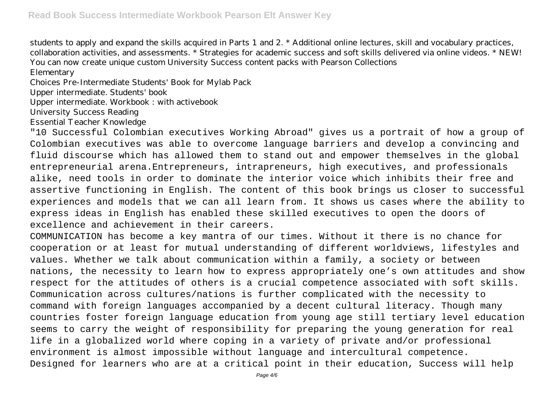students to apply and expand the skills acquired in Parts 1 and 2. \* Additional online lectures, skill and vocabulary practices, collaboration activities, and assessments. \* Strategies for academic success and soft skills delivered via online videos. \* NEW! You can now create unique custom University Success content packs with Pearson Collections

Elementary

Choices Pre-Intermediate Students' Book for Mylab Pack

Upper intermediate. Students' book

Upper intermediate. Workbook : with activebook

University Success Reading

Essential Teacher Knowledge

"10 Successful Colombian executives Working Abroad" gives us a portrait of how a group of Colombian executives was able to overcome language barriers and develop a convincing and fluid discourse which has allowed them to stand out and empower themselves in the global entrepreneurial arena.Entrepreneurs, intrapreneurs, high executives, and professionals alike, need tools in order to dominate the interior voice which inhibits their free and assertive functioning in English. The content of this book brings us closer to successful experiences and models that we can all learn from. It shows us cases where the ability to express ideas in English has enabled these skilled executives to open the doors of excellence and achievement in their careers.

COMMUNICATION has become a key mantra of our times. Without it there is no chance for cooperation or at least for mutual understanding of different worldviews, lifestyles and values. Whether we talk about communication within a family, a society or between nations, the necessity to learn how to express appropriately one's own attitudes and show respect for the attitudes of others is a crucial competence associated with soft skills. Communication across cultures/nations is further complicated with the necessity to command with foreign languages accompanied by a decent cultural literacy. Though many countries foster foreign language education from young age still tertiary level education seems to carry the weight of responsibility for preparing the young generation for real life in a globalized world where coping in a variety of private and/or professional environment is almost impossible without language and intercultural competence. Designed for learners who are at a critical point in their education, Success will help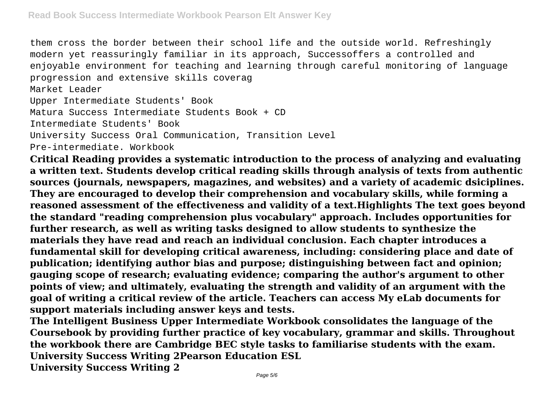them cross the border between their school life and the outside world. Refreshingly modern yet reassuringly familiar in its approach, Successoffers a controlled and enjoyable environment for teaching and learning through careful monitoring of language progression and extensive skills coverag

Market Leader

Upper Intermediate Students' Book

Matura Success Intermediate Students Book + CD

Intermediate Students' Book

University Success Oral Communication, Transition Level

Pre-intermediate. Workbook

**Critical Reading provides a systematic introduction to the process of analyzing and evaluating a written text. Students develop critical reading skills through analysis of texts from authentic sources (journals, newspapers, magazines, and websites) and a variety of academic dsiciplines. They are encouraged to develop their comprehension and vocabulary skills, while forming a reasoned assessment of the effectiveness and validity of a text.Highlights The text goes beyond the standard "reading comprehension plus vocabulary" approach. Includes opportunities for further research, as well as writing tasks designed to allow students to synthesize the materials they have read and reach an individual conclusion. Each chapter introduces a fundamental skill for developing critical awareness, including: considering place and date of publication; identifying author bias and purpose; distinguishing between fact and opinion; gauging scope of research; evaluating evidence; comparing the author's argument to other points of view; and ultimately, evaluating the strength and validity of an argument with the goal of writing a critical review of the article. Teachers can access My eLab documents for support materials including answer keys and tests.**

**The Intelligent Business Upper Intermediate Workbook consolidates the language of the Coursebook by providing further practice of key vocabulary, grammar and skills. Throughout the workbook there are Cambridge BEC style tasks to familiarise students with the exam. University Success Writing 2Pearson Education ESL University Success Writing 2**